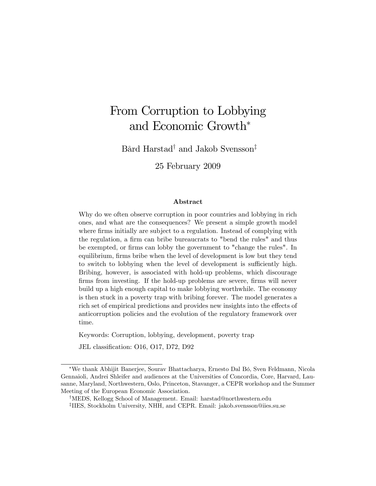# From Corruption to Lobbying and Economic Growth

Bård Harstad<sup>†</sup> and Jakob Svensson<sup>‡</sup>

25 February 2009

#### Abstract

Why do we often observe corruption in poor countries and lobbying in rich ones, and what are the consequences? We present a simple growth model where firms initially are subject to a regulation. Instead of complying with the regulation, a firm can bribe bureaucrats to "bend the rules" and thus be exempted, or firms can lobby the government to "change the rules". In equilibrium, firms bribe when the level of development is low but they tend to switch to lobbying when the level of development is sufficiently high. Bribing, however, is associated with hold-up problems, which discourage firms from investing. If the hold-up problems are severe, firms will never build up a high enough capital to make lobbying worthwhile. The economy is then stuck in a poverty trap with bribing forever. The model generates a rich set of empirical predictions and provides new insights into the effects of anticorruption policies and the evolution of the regulatory framework over time.

Keywords: Corruption, lobbying, development, poverty trap

JEL classification: O16, O17, D72, D92

We thank Abhijit Banerjee, Sourav Bhattacharya, Ernesto Dal BÛ, Sven Feldmann, Nicola Gennaioli, Andrei Shleifer and audiences at the Universities of Concordia, Core, Harvard, Lausanne, Maryland, Northwestern, Oslo, Princeton, Stavanger, a CEPR workshop and the Summer Meeting of the European Economic Association.

<sup>&</sup>lt;sup>†</sup>MEDS, Kellogg School of Management. Email: harstad@northwestern.edu z IIES, Stockholm University, NHH, and CEPR. Email: jakob.svensson@iies.su.se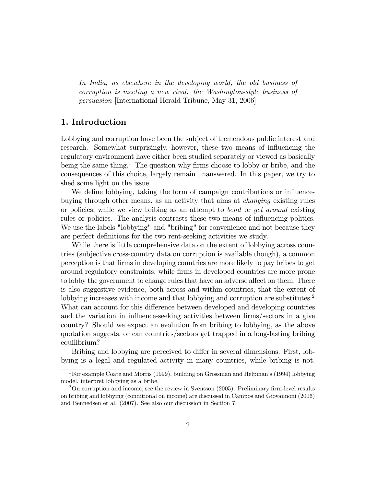In India, as elsewhere in the developing world, the old business of corruption is meeting a new rival: the Washington-style business of persuasion [International Herald Tribune, May 31, 2006]

# 1. Introduction

Lobbying and corruption have been the subject of tremendous public interest and research. Somewhat surprisingly, however, these two means of influencing the regulatory environment have either been studied separately or viewed as basically being the same thing.<sup>1</sup> The question why firms choose to lobby or bribe, and the consequences of this choice, largely remain unanswered. In this paper, we try to shed some light on the issue.

We define lobbying, taking the form of campaign contributions or influencebuying through other means, as an activity that aims at changing existing rules or policies, while we view bribing as an attempt to bend or get around existing rules or policies. The analysis contrasts these two means of influencing politics. We use the labels "lobbying" and "bribing" for convenience and not because they are perfect definitions for the two rent-seeking activities we study.

While there is little comprehensive data on the extent of lobbying across countries (subjective cross-country data on corruption is available though), a common perception is that Örms in developing countries are more likely to pay bribes to get around regulatory constraints, while Örms in developed countries are more prone to lobby the government to change rules that have an adverse affect on them. There is also suggestive evidence, both across and within countries, that the extent of lobbying increases with income and that lobbying and corruption are substitutes.<sup>2</sup> What can account for this difference between developed and developing countries and the variation in influence-seeking activities between firms/sectors in a give country? Should we expect an evolution from bribing to lobbying, as the above quotation suggests, or can countries/sectors get trapped in a long-lasting bribing equilibrium?

Bribing and lobbying are perceived to differ in several dimensions. First, lobbying is a legal and regulated activity in many countries, while bribing is not.

<sup>&</sup>lt;sup>1</sup>For example Coate and Morris (1999), building on Grossman and Helpman's (1994) lobbying model, interpret lobbying as a bribe.

 $2$ On corruption and income, see the review in Svensson (2005). Preliminary firm-level results on bribing and lobbying (conditional on income) are discussed in Campos and Giovannoni (2006) and Bennedsen et al. (2007). See also our discussion in Section 7.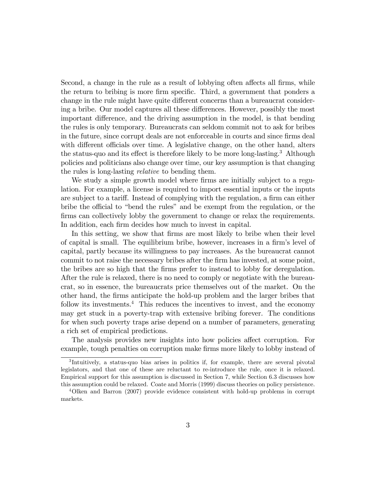Second, a change in the rule as a result of lobbying often affects all firms, while the return to bribing is more firm specific. Third, a government that ponders a change in the rule might have quite different concerns than a bureaucrat considering a bribe. Our model captures all these differences. However, possibly the most important difference, and the driving assumption in the model, is that bending the rules is only temporary. Bureaucrats can seldom commit not to ask for bribes in the future, since corrupt deals are not enforceable in courts and since firms deal with different officials over time. A legislative change, on the other hand, alters the status-quo and its effect is therefore likely to be more long-lasting.<sup>3</sup> Although policies and politicians also change over time, our key assumption is that changing the rules is long-lasting relative to bending them.

We study a simple growth model where firms are initially subject to a regulation. For example, a license is required to import essential inputs or the inputs are subject to a tariff. Instead of complying with the regulation, a firm can either bribe the official to "bend the rules" and be exempt from the regulation, or the firms can collectively lobby the government to change or relax the requirements. In addition, each firm decides how much to invest in capital.

In this setting, we show that firms are most likely to bribe when their level of capital is small. The equilibrium bribe, however, increases in a firm's level of capital, partly because its willingness to pay increases. As the bureaucrat cannot commit to not raise the necessary bribes after the firm has invested, at some point, the bribes are so high that the firms prefer to instead to lobby for deregulation. After the rule is relaxed, there is no need to comply or negotiate with the bureaucrat, so in essence, the bureaucrats price themselves out of the market. On the other hand, the Örms anticipate the hold-up problem and the larger bribes that follow its investments.<sup>4</sup> This reduces the incentives to invest, and the economy may get stuck in a poverty-trap with extensive bribing forever. The conditions for when such poverty traps arise depend on a number of parameters, generating a rich set of empirical predictions.

The analysis provides new insights into how policies affect corruption. For example, tough penalties on corruption make firms more likely to lobby instead of

<sup>&</sup>lt;sup>3</sup>Intuitively, a status-quo bias arises in politics if, for example, there are several pivotal legislators, and that one of these are reluctant to re-introduce the rule, once it is relaxed. Empirical support for this assumption is discussed in Section 7, while Section 6.3 discusses how this assumption could be relaxed. Coate and Morris (1999) discuss theories on policy persistence.

<sup>4</sup>Olken and Barron (2007) provide evidence consistent with hold-up problems in corrupt markets.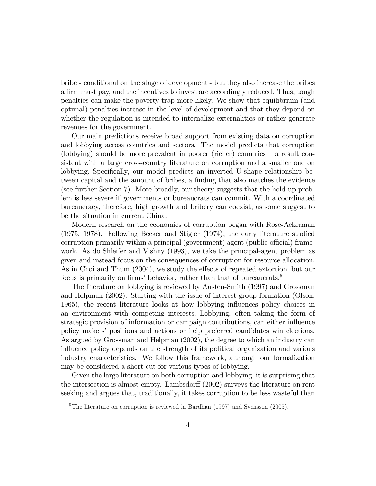bribe - conditional on the stage of development - but they also increase the bribes a firm must pay, and the incentives to invest are accordingly reduced. Thus, tough penalties can make the poverty trap more likely. We show that equilibrium (and optimal) penalties increase in the level of development and that they depend on whether the regulation is intended to internalize externalities or rather generate revenues for the government.

Our main predictions receive broad support from existing data on corruption and lobbying across countries and sectors. The model predicts that corruption (lobbying) should be more prevalent in poorer (richer) countries  $-$  a result consistent with a large cross-country literature on corruption and a smaller one on lobbying. Specifically, our model predicts an inverted U-shape relationship between capital and the amount of bribes, a finding that also matches the evidence (see further Section 7). More broadly, our theory suggests that the hold-up problem is less severe if governments or bureaucrats can commit. With a coordinated bureaucracy, therefore, high growth and bribery can coexist, as some suggest to be the situation in current China.

Modern research on the economics of corruption began with Rose-Ackerman (1975, 1978). Following Becker and Stigler (1974), the early literature studied corruption primarily within a principal (government) agent (public official) framework. As do Shleifer and Vishny (1993), we take the principal-agent problem as given and instead focus on the consequences of corruption for resource allocation. As in Choi and Thum (2004), we study the effects of repeated extortion, but our focus is primarily on firms' behavior, rather than that of bureaucrats.<sup>5</sup>

The literature on lobbying is reviewed by Austen-Smith (1997) and Grossman and Helpman (2002). Starting with the issue of interest group formation (Olson, 1965), the recent literature looks at how lobbying influences policy choices in an environment with competing interests. Lobbying, often taking the form of strategic provision of information or campaign contributions, can either ináuence policy makersí positions and actions or help preferred candidates win elections. As argued by Grossman and Helpman (2002), the degree to which an industry can influence policy depends on the strength of its political organization and various industry characteristics. We follow this framework, although our formalization may be considered a short-cut for various types of lobbying.

Given the large literature on both corruption and lobbying, it is surprising that the intersection is almost empty. Lambsdorff  $(2002)$  surveys the literature on rent seeking and argues that, traditionally, it takes corruption to be less wasteful than

<sup>&</sup>lt;sup>5</sup>The literature on corruption is reviewed in Bardhan  $(1997)$  and Svensson  $(2005)$ .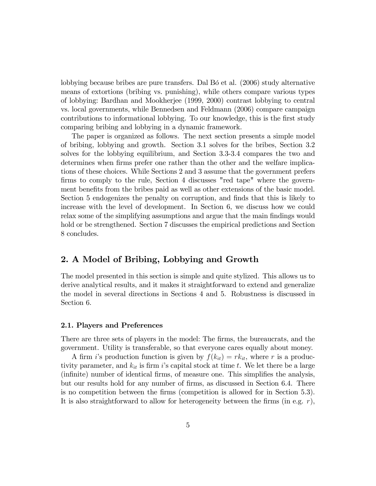lobbying because bribes are pure transfers. Dal B<sub>O</sub> et al. (2006) study alternative means of extortions (bribing vs. punishing), while others compare various types of lobbying: Bardhan and Mookherjee (1999, 2000) contrast lobbying to central vs. local governments, while Bennedsen and Feldmann (2006) compare campaign contributions to informational lobbying. To our knowledge, this is the first study comparing bribing and lobbying in a dynamic framework.

The paper is organized as follows. The next section presents a simple model of bribing, lobbying and growth. Section 3.1 solves for the bribes, Section 3.2 solves for the lobbying equilibrium, and Section 3.3-3.4 compares the two and determines when firms prefer one rather than the other and the welfare implications of these choices. While Sections 2 and 3 assume that the government prefers firms to comply to the rule, Section 4 discusses "red tape" where the government benefits from the bribes paid as well as other extensions of the basic model. Section 5 endogenizes the penalty on corruption, and finds that this is likely to increase with the level of development. In Section 6, we discuss how we could relax some of the simplifying assumptions and argue that the main findings would hold or be strengthened. Section 7 discusses the empirical predictions and Section 8 concludes.

# 2. A Model of Bribing, Lobbying and Growth

The model presented in this section is simple and quite stylized. This allows us to derive analytical results, and it makes it straightforward to extend and generalize the model in several directions in Sections 4 and 5. Robustness is discussed in Section 6.

#### 2.1. Players and Preferences

There are three sets of players in the model: The Örms, the bureaucrats, and the government. Utility is transferable, so that everyone cares equally about money.

A firm i's production function is given by  $f(k_{it}) = r k_{it}$ , where r is a productivity parameter, and  $k_{it}$  is firm is capital stock at time t. We let there be a large (infinite) number of identical firms, of measure one. This simplifies the analysis, but our results hold for any number of firms, as discussed in Section 6.4. There is no competition between the firms (competition is allowed for in Section 5.3). It is also straightforward to allow for heterogeneity between the firms (in e.g.  $r$ ),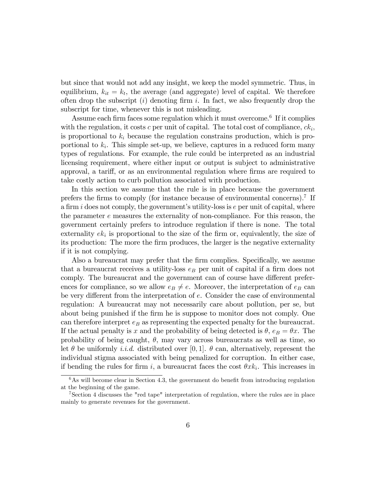but since that would not add any insight, we keep the model symmetric. Thus, in equilibrium,  $k_{it} = k_t$ , the average (and aggregate) level of capital. We therefore often drop the subscript  $(i)$  denoting firm i. In fact, we also frequently drop the subscript for time, whenever this is not misleading.

Assume each firm faces some regulation which it must overcome.<sup>6</sup> If it complies with the regulation, it costs  $c$  per unit of capital. The total cost of compliance,  $ck_i$ , is proportional to  $k_i$  because the regulation constrains production, which is proportional to  $k_i$ . This simple set-up, we believe, captures in a reduced form many types of regulations. For example, the rule could be interpreted as an industrial licensing requirement, where either input or output is subject to administrative approval, a tariff, or as an environmental regulation where firms are required to take costly action to curb pollution associated with production.

In this section we assume that the rule is in place because the government prefers the firms to comply (for instance because of environmental concerns).<sup>7</sup> If a firm i does not comply, the government's utility-loss is  $e$  per unit of capital, where the parameter e measures the externality of non-compliance. For this reason, the government certainly prefers to introduce regulation if there is none. The total externality  $ek_i$  is proportional to the size of the firm or, equivalently, the size of its production: The more the firm produces, the larger is the negative externality if it is not complying.

Also a bureaucrat may prefer that the firm complies. Specifically, we assume that a bureaucrat receives a utility-loss  $e_B$  per unit of capital if a firm does not comply. The bureaucrat and the government can of course have different preferences for compliance, so we allow  $e_B \neq e$ . Moreover, the interpretation of  $e_B$  can be very different from the interpretation of  $e$ . Consider the case of environmental regulation: A bureaucrat may not necessarily care about pollution, per se, but about being punished if the firm he is suppose to monitor does not comply. One can therefore interpret  $e_B$  as representing the expected penalty for the bureaucrat. If the actual penalty is x and the probability of being detected is  $\theta$ ,  $e_B = \theta x$ . The probability of being caught,  $\theta$ , may vary across bureaucrats as well as time, so let  $\theta$  be uniformly *i.i.d.* distributed over [0, 1].  $\theta$  can, alternatively, represent the individual stigma associated with being penalized for corruption. In either case, if bending the rules for firm i, a bureaucrat faces the cost  $\theta x k_i$ . This increases in

 $6$ As will become clear in Section 4.3, the government do benefit from introducing regulation at the beginning of the game.

<sup>7</sup>Section 4 discusses the "red tape" interpretation of regulation, where the rules are in place mainly to generate revenues for the government.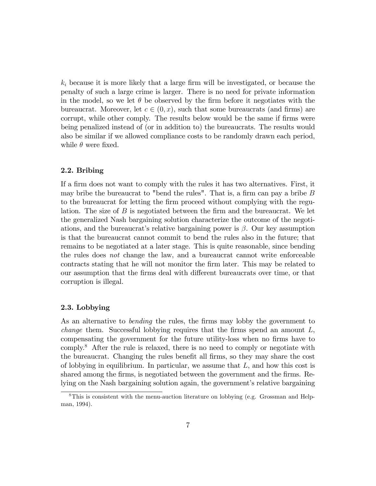$k_i$  because it is more likely that a large firm will be investigated, or because the penalty of such a large crime is larger. There is no need for private information in the model, so we let  $\theta$  be observed by the firm before it negotiates with the bureaucrat. Moreover, let  $c \in (0, x)$ , such that some bureaucrats (and firms) are corrupt, while other comply. The results below would be the same if firms were being penalized instead of (or in addition to) the bureaucrats. The results would also be similar if we allowed compliance costs to be randomly drawn each period, while  $\theta$  were fixed.

#### 2.2. Bribing

If a firm does not want to comply with the rules it has two alternatives. First, it may bribe the bureaucrat to "bend the rules". That is, a firm can pay a bribe  $B$ to the bureaucrat for letting the Örm proceed without complying with the regulation. The size of  $B$  is negotiated between the firm and the bureaucrat. We let the generalized Nash bargaining solution characterize the outcome of the negotiations, and the bureaucrat's relative bargaining power is  $\beta$ . Our key assumption is that the bureaucrat cannot commit to bend the rules also in the future; that remains to be negotiated at a later stage. This is quite reasonable, since bending the rules does not change the law, and a bureaucrat cannot write enforceable contracts stating that he will not monitor the Örm later. This may be related to our assumption that the firms deal with different bureaucrats over time, or that corruption is illegal.

#### 2.3. Lobbying

As an alternative to *bending* the rules, the firms may lobby the government to *change* them. Successful lobbying requires that the firms spend an amount  $L$ , compensating the government for the future utility-loss when no firms have to comply.<sup>8</sup> After the rule is relaxed, there is no need to comply or negotiate with the bureaucrat. Changing the rules benefit all firms, so they may share the cost of lobbying in equilibrium. In particular, we assume that  $L$ , and how this cost is shared among the firms, is negotiated between the government and the firms. Relying on the Nash bargaining solution again, the government's relative bargaining

<sup>8</sup>This is consistent with the menu-auction literature on lobbying (e.g. Grossman and Helpman, 1994).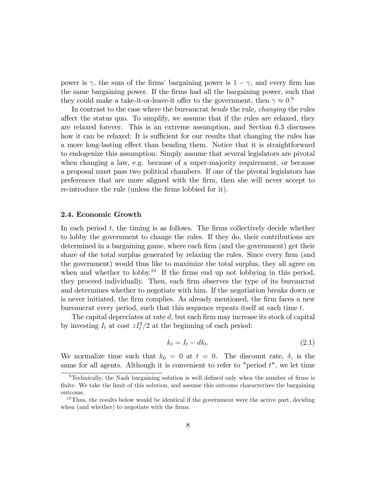power is  $\gamma$ , the sum of the firms' bargaining power is  $1 - \gamma$ , and every firm has the same bargaining power. If the firms had all the bargaining power, such that they could make a take-it-or-leave-it offer to the government, then  $\gamma \approx 0.^9$ 

In contrast to the case where the bureaucrat bends the rule, changing the rules affect the status quo. To simplify, we assume that if the rules are relaxed, they are relaxed forever. This is an extreme assumption, and Section 6.3 discusses how it can be relaxed: It is sufficient for our results that changing the rules has a more long-lasting effect than bending them. Notice that it is straightforward to endogenize this assumption: Simply assume that several legislators are pivotal when changing a law, e.g. because of a super-majority requirement, or because a proposal must pass two political chambers. If one of the pivotal legislators has preferences that are more aligned with the Örm, then she will never accept to re-introduce the rule (unless the firms lobbied for it).

#### 2.4. Economic Growth

In each period  $t$ , the timing is as follows. The firms collectively decide whether to lobby the government to change the rules. If they do, their contributions are determined in a bargaining game, where each firm (and the government) get their share of the total surplus generated by relaxing the rules. Since every firm (and the government) would thus like to maximize the total surplus, they all agree on when and whether to lobby.<sup>10</sup> If the firms end up not lobbying in this period, they proceed individually. Then, each firm observes the type of its bureaucrat and determines whether to negotiate with him. If the negotiation breaks down or is never initiated, the firm complies. As already mentioned, the firm faces a new bureaucrat every period, such that this sequence repeats itself at each time t.

The capital depreciates at rate  $d$ , but each firm may increase its stock of capital by investing  $I_t$  at cost  $zI_t^2/2$  at the beginning of each period:

$$
\dot{k}_t = I_t - dk_t. \tag{2.1}
$$

We normalize time such that  $k_0 = 0$  at  $t = 0$ . The discount rate,  $\delta$ , is the same for all agents. Although it is convenient to refer to "period  $t$ ", we let time

 $9$ Technically, the Nash bargaining solution is well defined only when the number of firms is finite. We take the limit of this solution, and assume this outcome characterizes the bargaining outcome.

 $10$ Thus, the results below would be identical if the government were the active part, deciding when (and whether) to negotiate with the firms.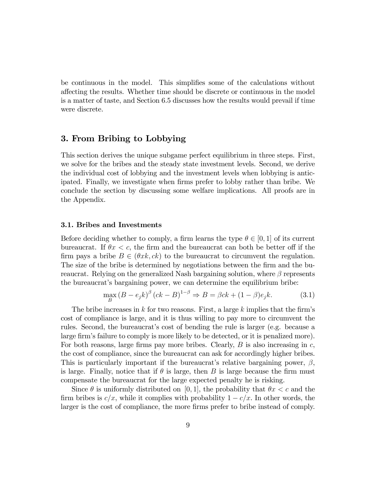be continuous in the model. This simplifies some of the calculations without affecting the results. Whether time should be discrete or continuous in the model is a matter of taste, and Section 6.5 discusses how the results would prevail if time were discrete.

# 3. From Bribing to Lobbying

This section derives the unique subgame perfect equilibrium in three steps. First, we solve for the bribes and the steady state investment levels. Second, we derive the individual cost of lobbying and the investment levels when lobbying is anticipated. Finally, we investigate when firms prefer to lobby rather than bribe. We conclude the section by discussing some welfare implications. All proofs are in the Appendix.

#### 3.1. Bribes and Investments

Before deciding whether to comply, a firm learns the type  $\theta \in [0, 1]$  of its current bureaucrat. If  $\theta x < c$ , the firm and the bureaucrat can both be better off if the firm pays a bribe  $B \in (\theta xk, ck)$  to the bureaucrat to circumvent the regulation. The size of the bribe is determined by negotiations between the firm and the bureaucrat. Relying on the generalized Nash bargaining solution, where  $\beta$  represents the bureaucrat's bargaining power, we can determine the equilibrium bribe:

$$
\max_{B} \left( B - e_j k \right)^{\beta} \left( ck - B \right)^{1 - \beta} \Rightarrow B = \beta ck + (1 - \beta)e_j k. \tag{3.1}
$$

The bribe increases in k for two reasons. First, a large k implies that the firm's cost of compliance is large, and it is thus willing to pay more to circumvent the rules. Second, the bureaucrat's cost of bending the rule is larger (e.g. because a large firm's failure to comply is more likely to be detected, or it is penalized more). For both reasons, large firms pay more bribes. Clearly,  $B$  is also increasing in  $c$ , the cost of compliance, since the bureaucrat can ask for accordingly higher bribes. This is particularly important if the bureaucrat's relative bargaining power,  $\beta$ , is large. Finally, notice that if  $\theta$  is large, then B is large because the firm must compensate the bureaucrat for the large expected penalty he is risking.

Since  $\theta$  is uniformly distributed on [0, 1], the probability that  $\theta x < c$  and the firm bribes is  $c/x$ , while it complies with probability  $1 - c/x$ . In other words, the larger is the cost of compliance, the more firms prefer to bribe instead of comply.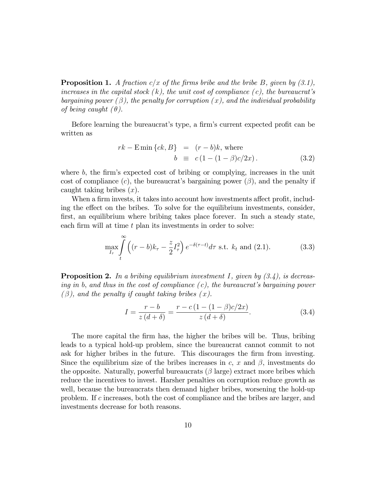**Proposition 1.** A fraction c/x of the firms bribe and the bribe B, given by  $(3.1)$ , increases in the capital stock  $(k)$ , the unit cost of compliance  $(c)$ , the bureaucrat's bargaining power  $(\beta)$ , the penalty for corruption  $(x)$ , and the individual probability of being caught  $(\theta)$ .

Before learning the bureaucrat's type, a firm's current expected profit can be written as

$$
rk - \text{E min}\{ck, B\} = (r - b)k, \text{ where}
$$

$$
b \equiv c(1 - (1 - \beta)c/2x). \tag{3.2}
$$

where  $b$ , the firm's expected cost of bribing or complying, increases in the unit cost of compliance  $(c)$ , the bureaucrat's bargaining power  $(\beta)$ , and the penalty if caught taking bribes  $(x)$ .

When a firm invests, it takes into account how investments affect profit, including the effect on the bribes. To solve for the equilibrium investments, consider, first, an equilibrium where bribing takes place forever. In such a steady state, each firm will at time  $t$  plan its investments in order to solve:

$$
\max_{I_{\tau}} \int_{t}^{\infty} \left( (r-b)k_{\tau} - \frac{z}{2}I_{\tau}^{2} \right) e^{-\delta(\tau-t)} d\tau \text{ s.t. } k_{t} \text{ and } (2.1).
$$
 (3.3)

**Proposition 2.** In a bribing equilibrium investment I, given by  $(3.4)$ , is decreasing in b, and thus in the cost of compliance  $(c)$ , the bureaucrat's bargaining power  $(\beta)$ , and the penalty if caught taking bribes  $(x)$ .

$$
I = \frac{r - b}{z (d + \delta)} = \frac{r - c (1 - (1 - \beta)c/2x)}{z (d + \delta)}.
$$
 (3.4)

The more capital the firm has, the higher the bribes will be. Thus, bribing leads to a typical hold-up problem, since the bureaucrat cannot commit to not ask for higher bribes in the future. This discourages the firm from investing. Since the equilibrium size of the bribes increases in  $c, x$  and  $\beta$ , investments do the opposite. Naturally, powerful bureaucrats  $(\beta \text{ large})$  extract more bribes which reduce the incentives to invest. Harsher penalties on corruption reduce growth as well, because the bureaucrats then demand higher bribes, worsening the hold-up problem. If c increases, both the cost of compliance and the bribes are larger, and investments decrease for both reasons.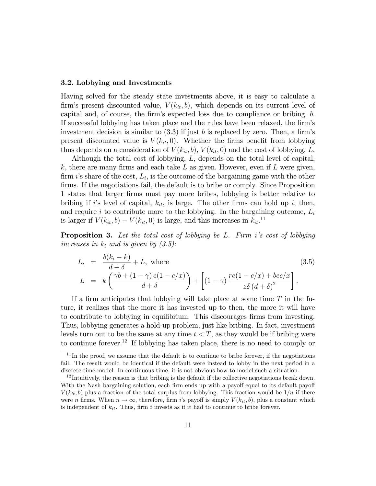#### 3.2. Lobbying and Investments

Having solved for the steady state investments above, it is easy to calculate a firm's present discounted value,  $V(k_{it}, b)$ , which depends on its current level of capital and, of course, the firm's expected loss due to compliance or bribing,  $b$ . If successful lobbying has taken place and the rules have been relaxed, the firm's investment decision is similar to  $(3.3)$  if just b is replaced by zero. Then, a firm's present discounted value is  $V(k_{it}, 0)$ . Whether the firms benefit from lobbying thus depends on a consideration of  $V(k_{it},b)$ ,  $V(k_{it},0)$  and the cost of lobbying, L.

Although the total cost of lobbying, L, depends on the total level of capital, k, there are many firms and each take L as given. However, even if L were given, firm *i*'s share of the cost,  $L_i$ , is the outcome of the bargaining game with the other firms. If the negotiations fail, the default is to bribe or comply. Since Proposition 1 states that larger Örms must pay more bribes, lobbying is better relative to bribing if i's level of capital,  $k_{it}$ , is large. The other firms can hold up i, then, and require i to contribute more to the lobbying. In the bargaining outcome,  $L_i$ is larger if  $V(k_{it}, b) - V(k_{it}, 0)$  is large, and this increases in  $k_{it}$ <sup>11</sup>

**Proposition 3.** Let the total cost of lobbying be L. Firm i's cost of lobbying increases in  $k_i$  and is given by  $(3.5)$ :

$$
L_i = \frac{b(k_i - k)}{d + \delta} + L, \text{ where}
$$
\n
$$
L = k \left( \frac{\gamma b + (1 - \gamma) e(1 - c/x)}{d + \delta} \right) + \left[ (1 - \gamma) \frac{re(1 - c/x) + bec/x}{z\delta (d + \delta)^2} \right].
$$
\n(3.5)

If a firm anticipates that lobbying will take place at some time  $T$  in the future, it realizes that the more it has invested up to then, the more it will have to contribute to lobbying in equilibrium. This discourages firms from investing. Thus, lobbying generates a hold-up problem, just like bribing. In fact, investment levels turn out to be the same at any time  $t < T$ , as they would be if bribing were to continue forever.<sup>12</sup> If lobbying has taken place, there is no need to comply or

 $11$ In the proof, we assume that the default is to continue to bribe forever, if the negotiations fail. The result would be identical if the default were instead to lobby in the next period in a discrete time model. In continuous time, it is not obvious how to model such a situation.

 $12$ Intuitively, the reason is that bribing is the default if the collective negotiations break down. With the Nash bargaining solution, each firm ends up with a payoff equal to its default payoff  $V(k_{it}, b)$  plus a fraction of the total surplus from lobbying. This fraction would be  $1/n$  if there were n firms. When  $n \to \infty$ , therefore, firm is payoff is simply  $V(k_{it}, b)$ , plus a constant which is independent of  $k_{it}$ . Thus, firm i invests as if it had to continue to bribe forever.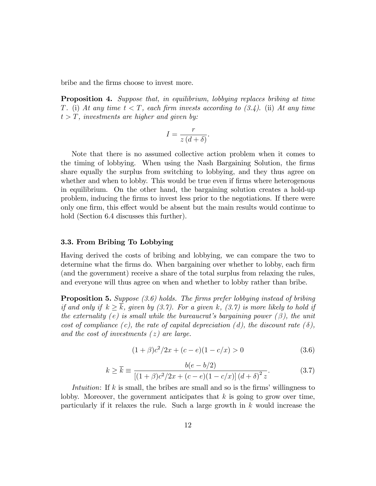bribe and the Örms choose to invest more.

Proposition 4. Suppose that, in equilibrium, lobbying replaces bribing at time T. (i) At any time  $t < T$ , each firm invests according to (3.4). (ii) At any time  $t > T$ , investments are higher and given by:

$$
I = \frac{r}{z\left(d+\delta\right)}.
$$

Note that there is no assumed collective action problem when it comes to the timing of lobbying. When using the Nash Bargaining Solution, the firms share equally the surplus from switching to lobbying, and they thus agree on whether and when to lobby. This would be true even if firms where heterogenous in equilibrium. On the other hand, the bargaining solution creates a hold-up problem, inducing the Örms to invest less prior to the negotiations. If there were only one firm, this effect would be absent but the main results would continue to hold (Section 6.4 discusses this further).

#### 3.3. From Bribing To Lobbying

Having derived the costs of bribing and lobbying, we can compare the two to determine what the firms do. When bargaining over whether to lobby, each firm (and the government) receive a share of the total surplus from relaxing the rules, and everyone will thus agree on when and whether to lobby rather than bribe.

**Proposition 5.** Suppose  $(3.6)$  holds. The firms prefer lobbying instead of bribing if and only if  $k > \overline{k}$ , given by (3.7). For a given k, (3.7) is more likely to hold if the externality (e) is small while the bureaucrat's bargaining power  $(\beta)$ , the unit cost of compliance (c), the rate of capital depreciation (d), the discount rate ( $\delta$ ), and the cost of investments  $(z)$  are large.

$$
(1+\beta)c^2/2x + (c-e)(1-c/x) > 0
$$
\n(3.6)

$$
k \ge \overline{k} \equiv \frac{b(e - b/2)}{[(1 + \beta)c^2/2x + (c - e)(1 - c/x)] (d + \delta)^2 z}.
$$
 (3.7)

Intuition: If  $k$  is small, the bribes are small and so is the firms' willingness to lobby. Moreover, the government anticipates that  $k$  is going to grow over time, particularly if it relaxes the rule. Such a large growth in  $k$  would increase the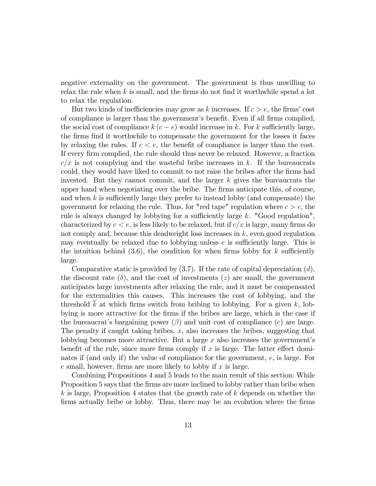negative externality on the government. The government is thus unwilling to relax the rule when  $k$  is small, and the firms do not find it worthwhile spend a lot to relax the regulation.

But two kinds of inefficiencies may grow as k increases. If  $c > e$ , the firms' cost of compliance is larger than the government's benefit. Even if all firms complied, the social cost of compliance  $k(c - e)$  would increase in k. For k sufficiently large, the Örms Önd it worthwhile to compensate the government for the losses it faces by relaxing the rules. If  $c < e$ , the benefit of compliance is larger than the cost. If every firm complied, the rule should thus never be relaxed. However, a fraction  $c/x$  is not complying and the wasteful bribe increases in k. If the bureaucrats could, they would have liked to commit to not raise the bribes after the firms had invested. But they cannot commit, and the larger  $k$  gives the bureaucrats the upper hand when negotiating over the bribe. The Örms anticipate this, of course, and when  $k$  is sufficiently large they prefer to instead lobby (and compensate) the government for relaxing the rule. Thus, for "red tape" regulation where  $c > e$ , the rule is always changed by lobbying for a sufficiently large  $k$ . "Good regulation", characterized by  $c < e$ , is less likely to be relaxed, but if  $c/x$  is large, many firms do not comply and, because this deadweight loss increases in k, even good regulation may eventually be relaxed due to lobbying unless  $e$  is sufficiently large. This is the intuition behind  $(3.6)$ , the condition for when firms lobby for k sufficiently large.

Comparative static is provided by  $(3.7)$ . If the rate of capital depreciation  $(d)$ , the discount rate  $(\delta)$ , and the cost of investments (z) are small, the government anticipates large investments after relaxing the rule, and it must be compensated for the externalities this causes. This increases the cost of lobbying, and the threshold  $\overline{k}$  at which firms switch from bribing to lobbying. For a given k, lobbying is more attractive for the Örms if the bribes are large, which is the case if the bureaucrat's bargaining power  $(\beta)$  and unit cost of compliance  $(c)$  are large. The penalty if caught taking bribes,  $x$ , also increases the bribes, suggesting that lobbying becomes more attractive. But a large  $x$  also increases the government's benefit of the rule, since more firms comply if x is large. The latter effect dominates if (and only if) the value of compliance for the government, e, is large. For e small, however, firms are more likely to lobby if x is large.

Combining Propositions 4 and 5 leads to the main result of this section: While Proposition 5 says that the firms are more inclined to lobby rather than bribe when  $k$  is large, Proposition 4 states that the growth rate of  $k$  depends on whether the firms actually bribe or lobby. Thus, there may be an evolution where the firms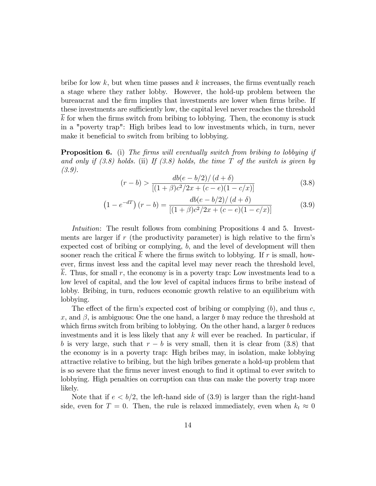bribe for low  $k$ , but when time passes and  $k$  increases, the firms eventually reach a stage where they rather lobby. However, the hold-up problem between the bureaucrat and the firm implies that investments are lower when firms bribe. If these investments are sufficiently low, the capital level never reaches the threshold  $\overline{k}$  for when the firms switch from bribing to lobbying. Then, the economy is stuck in a "poverty trap": High bribes lead to low investments which, in turn, never make it beneficial to switch from bribing to lobbying.

**Proposition 6.** (i) The firms will eventually switch from bribing to lobbying if and only if  $(3.8)$  holds. (ii) If  $(3.8)$  holds, the time T of the switch is given by (3.9).

$$
(r - b) > \frac{db(e - b/2)/(d + \delta)}{[(1 + \beta)c^2/2x + (c - e)(1 - c/x)]}
$$
(3.8)

$$
(1 - e^{-dT}) (r - b) = \frac{db(e - b/2)/(d + \delta)}{[(1 + \beta)c^2/2x + (c - e)(1 - c/x)]}
$$
(3.9)

Intuition: The result follows from combining Propositions 4 and 5. Investments are larger if  $r$  (the productivity parameter) is high relative to the firm's expected cost of bribing or complying, b, and the level of development will then sooner reach the critical  $\overline{k}$  where the firms switch to lobbying. If r is small, however, firms invest less and the capital level may never reach the threshold level, k. Thus, for small r, the economy is in a poverty trap: Low investments lead to a low level of capital, and the low level of capital induces firms to bribe instead of lobby. Bribing, in turn, reduces economic growth relative to an equilibrium with lobbying.

The effect of the firm's expected cost of bribing or complying  $(b)$ , and thus c, x, and  $\beta$ , is ambiguous: One the one hand, a larger b may reduce the threshold at which firms switch from bribing to lobbying. On the other hand, a larger  $b$  reduces investments and it is less likely that any  $k$  will ever be reached. In particular, if b is very large, such that  $r - b$  is very small, then it is clear from (3.8) that the economy is in a poverty trap: High bribes may, in isolation, make lobbying attractive relative to bribing, but the high bribes generate a hold-up problem that is so severe that the Örms never invest enough to Önd it optimal to ever switch to lobbying. High penalties on corruption can thus can make the poverty trap more likely.

Note that if  $e < b/2$ , the left-hand side of (3.9) is larger than the right-hand side, even for  $T = 0$ . Then, the rule is relaxed immediately, even when  $k_t \approx 0$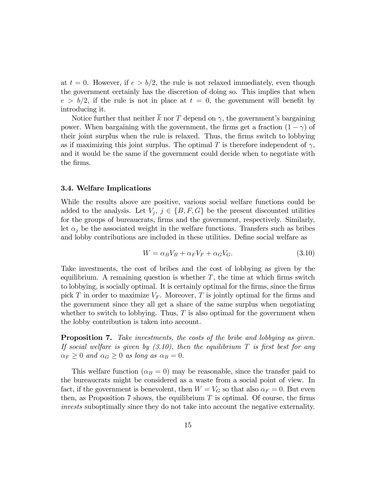at  $t = 0$ . However, if  $e > b/2$ , the rule is not relaxed immediately, even though the government certainly has the discretion of doing so. This implies that when  $e > b/2$ , if the rule is not in place at  $t = 0$ , the government will benefit by introducing it.

Notice further that neither  $\bar{k}$  nor T depend on  $\gamma$ , the government's bargaining power. When bargaining with the government, the firms get a fraction  $(1 - \gamma)$  of their joint surplus when the rule is relaxed. Thus, the firms switch to lobbying as if maximizing this joint surplus. The optimal  $T$  is therefore independent of  $\gamma$ , and it would be the same if the government could decide when to negotiate with the firms.

#### 3.4. Welfare Implications

While the results above are positive, various social welfare functions could be added to the analysis. Let  $V_j$ ,  $j \in \{B, F, G\}$  be the present discounted utilities for the groups of bureaucrats, firms and the government, respectively. Similarly, let  $\alpha_j$  be the associated weight in the welfare functions. Transfers such as bribes and lobby contributions are included in these utilities. Define social welfare as

$$
W = \alpha_B V_B + \alpha_F V_F + \alpha_G V_G. \tag{3.10}
$$

Take investments, the cost of bribes and the cost of lobbying as given by the equilibrium. A remaining question is whether  $T$ , the time at which firms switch to lobbying, is socially optimal. It is certainly optimal for the firms, since the firms pick T in order to maximize  $V_F$ . Moreover, T is jointly optimal for the firms and the government since they all get a share of the same surplus when negotiating whether to switch to lobbying. Thus,  $T$  is also optimal for the government when the lobby contribution is taken into account.

Proposition 7. Take investments, the costs of the bribe and lobbying as given. If social welfare is given by  $(3.10)$ , then the equilibrium T is first best for any  $\alpha_F \geq 0$  and  $\alpha_G \geq 0$  as long as  $\alpha_B = 0$ .

This welfare function  $(\alpha_B = 0)$  may be reasonable, since the transfer paid to the bureaucrats might be considered as a waste from a social point of view. In fact, if the government is benevolent, then  $W = V_G$  so that also  $\alpha_F = 0$ . But even then, as Proposition 7 shows, the equilibrium  $T$  is optimal. Of course, the firms invests suboptimally since they do not take into account the negative externality.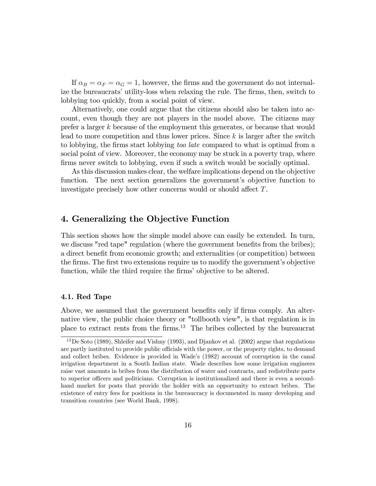If  $\alpha_B = \alpha_F = \alpha_G = 1$ , however, the firms and the government do not internalize the bureaucrats' utility-loss when relaxing the rule. The firms, then, switch to lobbying too quickly, from a social point of view.

Alternatively, one could argue that the citizens should also be taken into account, even though they are not players in the model above. The citizens may prefer a larger k because of the employment this generates, or because that would lead to more competition and thus lower prices. Since  $k$  is larger after the switch to lobbying, the firms start lobbying too late compared to what is optimal from a social point of view. Moreover, the economy may be stuck in a poverty trap, where firms never switch to lobbying, even if such a switch would be socially optimal.

As this discussion makes clear, the welfare implications depend on the objective function. The next section generalizes the government's objective function to investigate precisely how other concerns would or should affect  $T$ .

# 4. Generalizing the Objective Function

This section shows how the simple model above can easily be extended. In turn, we discuss "red tape" regulation (where the government benefits from the bribes); a direct benefit from economic growth; and externalities (or competition) between the firms. The first two extensions require us to modify the government's objective function, while the third require the firms' objective to be altered.

#### 4.1. Red Tape

Above, we assumed that the government benefits only if firms comply. An alternative view, the public choice theory or "tollbooth view", is that regulation is in place to extract rents from the Örms.<sup>13</sup> The bribes collected by the bureaucrat

<sup>&</sup>lt;sup>13</sup>De Soto (1989), Shleifer and Vishny (1993), and Djankov et al. (2002) argue that regulations are partly instituted to provide public officials with the power, or the property rights, to demand and collect bribes. Evidence is provided in Wade's (1982) account of corruption in the canal irrigation department in a South Indian state. Wade describes how some irrigation engineers raise vast amounts in bribes from the distribution of water and contracts, and redistribute parts to superior officers and politicians. Corruption is institutionalized and there is even a secondhand market for posts that provide the holder with an opportunity to extract bribes. The existence of entry fees for positions in the bureaucracy is documented in many developing and transition countries (see World Bank, 1998).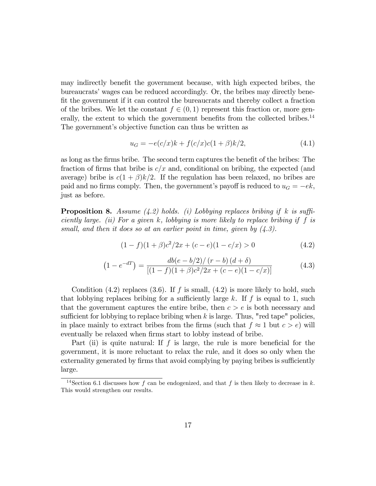may indirectly benefit the government because, with high expected bribes, the bureaucrats' wages can be reduced accordingly. Or, the bribes may directly benefit the government if it can control the bureaucrats and thereby collect a fraction of the bribes. We let the constant  $f \in (0, 1)$  represent this fraction or, more generally, the extent to which the government benefits from the collected bribes.<sup>14</sup> The government's objective function can thus be written as

$$
u_G = -e(c/x)k + f(c/x)c(1+\beta)k/2,
$$
\n(4.1)

as long as the firms bribe. The second term captures the benefit of the bribes: The fraction of firms that bribe is  $c/x$  and, conditional on bribing, the expected (and average) bribe is  $c(1+\beta)k/2$ . If the regulation has been relaxed, no bribes are paid and no firms comply. Then, the government's payoff is reduced to  $u_G = -ek$ , just as before.

**Proposition 8.** Assume (4.2) holds. (i) Lobbying replaces bribing if k is sufficiently large. (ii) For a given k, lobbying is more likely to replace bribing if f is small, and then it does so at an earlier point in time, given by  $(4.3)$ .

$$
(1 - f)(1 + \beta)c^2/2x + (c - e)(1 - c/x) > 0
$$
\n(4.2)

$$
(1 - e^{-dT}) = \frac{db(e - b/2)/(r - b)(d + \delta)}{[(1 - f)(1 + \beta)c^2/2x + (c - e)(1 - c/x)]}
$$
(4.3)

Condition  $(4.2)$  replaces  $(3.6)$ . If f is small,  $(4.2)$  is more likely to hold, such that lobbying replaces bribing for a sufficiently large k. If  $f$  is equal to 1, such that the government captures the entire bribe, then  $c > e$  is both necessary and sufficient for lobbying to replace bribing when  $k$  is large. Thus, "red tape" policies, in place mainly to extract bribes from the firms (such that  $f \approx 1$  but  $c > e$ ) will eventually be relaxed when firms start to lobby instead of bribe.

Part (ii) is quite natural: If  $f$  is large, the rule is more beneficial for the government, it is more reluctant to relax the rule, and it does so only when the externality generated by firms that avoid complying by paying bribes is sufficiently large.

<sup>&</sup>lt;sup>14</sup>Section 6.1 discusses how f can be endogenized, and that f is then likely to decrease in k. This would strengthen our results.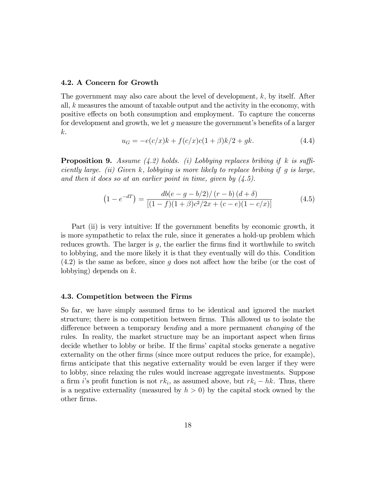#### 4.2. A Concern for Growth

The government may also care about the level of development, k; by itself. After all, k measures the amount of taxable output and the activity in the economy, with positive effects on both consumption and employment. To capture the concerns for development and growth, we let  $q$  measure the government's benefits of a larger k.

$$
u_G = -e(c/x)k + f(c/x)c(1+\beta)k/2 + gk.
$$
 (4.4)

**Proposition 9.** Assume (4.2) holds. (i) Lobbying replaces bribing if k is sufficiently large. (ii) Given  $k$ , lobbying is more likely to replace bribing if g is large, and then it does so at an earlier point in time, given by  $(4.5)$ .

$$
(1 - e^{-dT}) = \frac{db(e - g - b/2)/(r - b)(d + \delta)}{[(1 - f)(1 + \beta)c^2/2x + (c - e)(1 - c/x)]}
$$
(4.5)

Part (ii) is very intuitive: If the government benefits by economic growth, it is more sympathetic to relax the rule, since it generates a hold-up problem which reduces growth. The larger is  $g$ , the earlier the firms find it worthwhile to switch to lobbying, and the more likely it is that they eventually will do this. Condition  $(4.2)$  is the same as before, since q does not affect how the bribe (or the cost of lobbying) depends on  $k$ .

#### 4.3. Competition between the Firms

So far, we have simply assumed firms to be identical and ignored the market structure; there is no competition between firms. This allowed us to isolate the difference between a temporary bending and a more permanent *changing* of the rules. In reality, the market structure may be an important aspect when firms decide whether to lobby or bribe. If the firms' capital stocks generate a negative externality on the other firms (since more output reduces the price, for example), firms anticipate that this negative externality would be even larger if they were to lobby, since relaxing the rules would increase aggregate investments. Suppose a firm i's profit function is not  $rk_i$ , as assumed above, but  $rk_i - hk$ . Thus, there is a negative externality (measured by  $h > 0$ ) by the capital stock owned by the other Örms.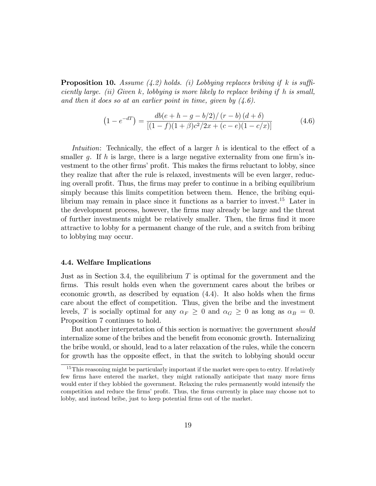**Proposition 10.** Assume (4.2) holds. (i) Lobbying replaces bribing if k is sufficiently large. (ii) Given k, lobbying is more likely to replace bribing if h is small, and then it does so at an earlier point in time, given by  $(4.6)$ .

$$
(1 - e^{-dT}) = \frac{db(e + h - g - b/2)/(r - b)(d + \delta)}{[(1 - f)(1 + \beta)c^2/2x + (c - e)(1 - c/x)]}
$$
(4.6)

Intuition: Technically, the effect of a larger  $h$  is identical to the effect of a smaller g. If h is large, there is a large negative externality from one firm's investment to the other firms' profit. This makes the firms reluctant to lobby, since they realize that after the rule is relaxed, investments will be even larger, reducing overall profit. Thus, the firms may prefer to continue in a bribing equilibrium simply because this limits competition between them. Hence, the bribing equilibrium may remain in place since it functions as a barrier to invest.<sup>15</sup> Later in the development process, however, the Örms may already be large and the threat of further investments might be relatively smaller. Then, the firms find it more attractive to lobby for a permanent change of the rule, and a switch from bribing to lobbying may occur.

#### 4.4. Welfare Implications

Just as in Section 3.4, the equilibrium  $T$  is optimal for the government and the firms. This result holds even when the government cares about the bribes or economic growth, as described by equation  $(4.4)$ . It also holds when the firms care about the effect of competition. Thus, given the bribe and the investment levels, T is socially optimal for any  $\alpha_F \geq 0$  and  $\alpha_G \geq 0$  as long as  $\alpha_B = 0$ . Proposition 7 continues to hold.

But another interpretation of this section is normative: the government *should* internalize some of the bribes and the benefit from economic growth. Internalizing the bribe would, or should, lead to a later relaxation of the rules, while the concern for growth has the opposite effect, in that the switch to lobbying should occur

<sup>&</sup>lt;sup>15</sup>This reasoning might be particularly important if the market were open to entry. If relatively few firms have entered the market, they might rationally anticipate that many more firms would enter if they lobbied the government. Relaxing the rules permanently would intensify the competition and reduce the firms' profit. Thus, the firms currently in place may choose not to lobby, and instead bribe, just to keep potential firms out of the market.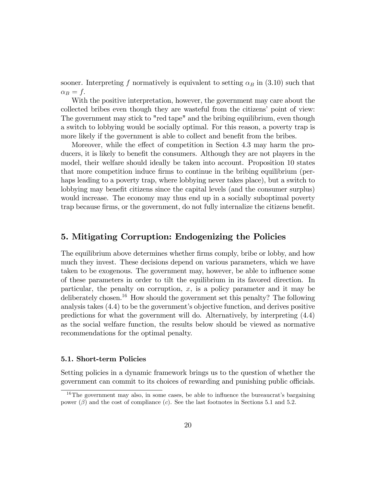sooner. Interpreting f normatively is equivalent to setting  $\alpha_B$  in (3.10) such that  $\alpha_B = f.$ 

With the positive interpretation, however, the government may care about the collected bribes even though they are wasteful from the citizens' point of view: The government may stick to "red tape" and the bribing equilibrium, even though a switch to lobbying would be socially optimal. For this reason, a poverty trap is more likely if the government is able to collect and benefit from the bribes.

Moreover, while the effect of competition in Section 4.3 may harm the producers, it is likely to benefit the consumers. Although they are not players in the model, their welfare should ideally be taken into account. Proposition 10 states that more competition induce firms to continue in the bribing equilibrium (perhaps leading to a poverty trap, where lobbying never takes place), but a switch to lobbying may benefit citizens since the capital levels (and the consumer surplus) would increase. The economy may thus end up in a socially suboptimal poverty trap because firms, or the government, do not fully internalize the citizens benefit.

# 5. Mitigating Corruption: Endogenizing the Policies

The equilibrium above determines whether firms comply, bribe or lobby, and how much they invest. These decisions depend on various parameters, which we have taken to be exogenous. The government may, however, be able to influence some of these parameters in order to tilt the equilibrium in its favored direction. In particular, the penalty on corruption,  $x$ , is a policy parameter and it may be deliberately chosen.<sup>16</sup> How should the government set this penalty? The following analysis takes  $(4.4)$  to be the government's objective function, and derives positive predictions for what the government will do. Alternatively, by interpreting (4.4) as the social welfare function, the results below should be viewed as normative recommendations for the optimal penalty.

#### 5.1. Short-term Policies

Setting policies in a dynamic framework brings us to the question of whether the government can commit to its choices of rewarding and punishing public officials.

 $16$ The government may also, in some cases, be able to influence the bureaucrat's bargaining power  $(\beta)$  and the cost of compliance  $(c)$ . See the last footnotes in Sections 5.1 and 5.2.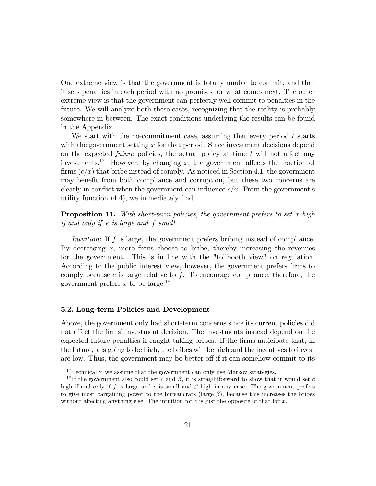One extreme view is that the government is totally unable to commit, and that it sets penalties in each period with no promises for what comes next. The other extreme view is that the government can perfectly well commit to penalties in the future. We will analyze both these cases, recognizing that the reality is probably somewhere in between. The exact conditions underlying the results can be found in the Appendix.

We start with the no-commitment case, assuming that every period  $t$  starts with the government setting  $x$  for that period. Since investment decisions depend on the expected *future* policies, the actual policy at time  $t$  will not affect any investments.<sup>17</sup> However, by changing x, the government affects the fraction of firms  $(c/x)$  that bribe instead of comply. As noticed in Section 4.1, the government may benefit from both compliance and corruption, but these two concerns are clearly in conflict when the government can influence  $c/x$ . From the government's utility function  $(4.4)$ , we immediately find:

**Proposition 11.** With short-term policies, the government prefers to set x high if and only if e is large and f small.

Intuition: If f is large, the government prefers bribing instead of compliance. By decreasing  $x$ , more firms choose to bribe, thereby increasing the revenues for the government. This is in line with the "tollbooth view" on regulation. According to the public interest view, however, the government prefers firms to comply because  $e$  is large relative to  $f$ . To encourage compliance, therefore, the government prefers x to be large.<sup>18</sup>

#### 5.2. Long-term Policies and Development

Above, the government only had short-term concerns since its current policies did not affect the firms' investment decision. The investments instead depend on the expected future penalties if caught taking bribes. If the firms anticipate that, in the future,  $x$  is going to be high, the bribes will be high and the incentives to invest are low. Thus, the government may be better off if it can somehow commit to its

 $^{17}\mathrm{Technically,}$  we assume that the government can only use Markov strategies.

<sup>&</sup>lt;sup>18</sup>If the government also could set c and  $\beta$ , it is straightforward to show that it would set c high if and only if f is large and e is small and  $\beta$  high in any case. The government prefers to give most bargaining power to the bureaucrats (large  $\beta$ ), because this increases the bribes without affecting anything else. The intuition for c is just the opposite of that for x.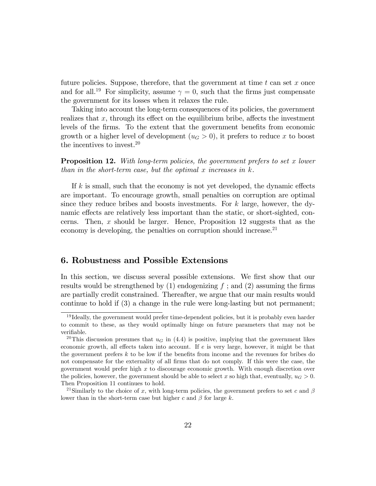future policies. Suppose, therefore, that the government at time  $t$  can set  $x$  once and for all.<sup>19</sup> For simplicity, assume  $\gamma = 0$ , such that the firms just compensate the government for its losses when it relaxes the rule.

Taking into account the long-term consequences of its policies, the government realizes that  $x$ , through its effect on the equilibrium bribe, affects the investment levels of the firms. To the extent that the government benefits from economic growth or a higher level of development  $(u_G > 0)$ , it prefers to reduce x to boost the incentives to invest.<sup>20</sup>

**Proposition 12.** With long-term policies, the government prefers to set x lower than in the short-term case, but the optimal  $x$  increases in  $k$ .

If k is small, such that the economy is not yet developed, the dynamic effects are important. To encourage growth, small penalties on corruption are optimal since they reduce bribes and boosts investments. For  $k$  large, however, the dynamic effects are relatively less important than the static, or short-sighted, concerns. Then,  $x$  should be larger. Hence, Proposition 12 suggests that as the economy is developing, the penalties on corruption should increase. $^{21}$ 

## 6. Robustness and Possible Extensions

In this section, we discuss several possible extensions. We first show that our results would be strengthened by  $(1)$  endogenizing f; and  $(2)$  assuming the firms are partially credit constrained. Thereafter, we argue that our main results would continue to hold if (3) a change in the rule were long-lasting but not permanent;

<sup>&</sup>lt;sup>19</sup> Ideally, the government would prefer time-dependent policies, but it is probably even harder to commit to these, as they would optimally hinge on future parameters that may not be verifiable.

<sup>&</sup>lt;sup>20</sup>This discussion presumes that  $u_G$  in (4.4) is positive, implying that the government likes economic growth, all effects taken into account. If  $e$  is very large, however, it might be that the government prefers  $k$  to be low if the benefits from income and the revenues for bribes do not compensate for the externality of all firms that do not comply. If this were the case, the government would prefer high x to discourage economic growth. With enough discretion over the policies, however, the government should be able to select x so high that, eventually,  $u_G > 0$ . Then Proposition 11 continues to hold.

<sup>&</sup>lt;sup>21</sup>Similarly to the choice of x, with long-term policies, the government prefers to set c and  $\beta$ lower than in the short-term case but higher c and  $\beta$  for large k.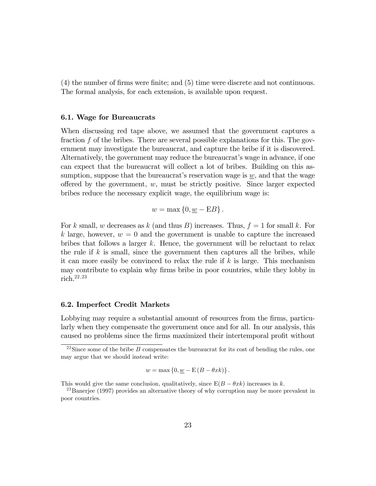(4) the number of Örms were Önite; and (5) time were discrete and not continuous. The formal analysis, for each extension, is available upon request.

#### 6.1. Wage for Bureaucrats

When discussing red tape above, we assumed that the government captures a fraction f of the bribes. There are several possible explanations for this. The government may investigate the bureaucrat, and capture the bribe if it is discovered. Alternatively, the government may reduce the bureaucrat's wage in advance, if one can expect that the bureaucrat will collect a lot of bribes. Building on this assumption, suppose that the bureaucrat's reservation wage is  $w$ , and that the wage offered by the government,  $w$ , must be strictly positive. Since larger expected bribes reduce the necessary explicit wage, the equilibrium wage is:

$$
w = \max\left\{0, \underline{w} - \mathbf{E}B\right\}.
$$

For k small, w decreases as k (and thus B) increases. Thus,  $f = 1$  for small k. For k large, however,  $w = 0$  and the government is unable to capture the increased bribes that follows a larger  $k$ . Hence, the government will be reluctant to relax the rule if  $k$  is small, since the government then captures all the bribes, while it can more easily be convinced to relax the rule if  $k$  is large. This mechanism may contribute to explain why firms bribe in poor countries, while they lobby in rich.22,23

#### 6.2. Imperfect Credit Markets

Lobbying may require a substantial amount of resources from the firms, particularly when they compensate the government once and for all. In our analysis, this caused no problems since the firms maximized their intertemporal profit without

$$
w = \max\left\{0, \underline{w} - \mathbb{E}\left(B - \theta xk\right)\right\}.
$$

<sup>&</sup>lt;sup>22</sup>Since some of the bribe B compensates the bureaucrat for its cost of bending the rules, one may argue that we should instead write:

This would give the same conclusion, qualitatively, since  $E(B - \theta xk)$  increases in k.

<sup>&</sup>lt;sup>23</sup>Banerjee (1997) provides an alternative theory of why corruption may be more prevalent in poor countries.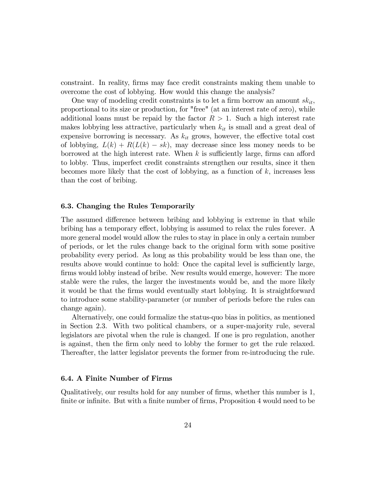constraint. In reality, Örms may face credit constraints making them unable to overcome the cost of lobbying. How would this change the analysis?

One way of modeling credit constraints is to let a firm borrow an amount  $sk_{it}$ , proportional to its size or production, for "free" (at an interest rate of zero), while additional loans must be repaid by the factor  $R > 1$ . Such a high interest rate makes lobbying less attractive, particularly when  $k_{it}$  is small and a great deal of expensive borrowing is necessary. As  $k_{it}$  grows, however, the effective total cost of lobbying,  $L(k) + R(L(k) - sk)$ , may decrease since less money needs to be borrowed at the high interest rate. When  $k$  is sufficiently large, firms can afford to lobby. Thus, imperfect credit constraints strengthen our results, since it then becomes more likely that the cost of lobbying, as a function of  $k$ , increases less than the cost of bribing.

#### 6.3. Changing the Rules Temporarily

The assumed difference between bribing and lobbying is extreme in that while bribing has a temporary effect, lobbying is assumed to relax the rules forever. A more general model would allow the rules to stay in place in only a certain number of periods, or let the rules change back to the original form with some positive probability every period. As long as this probability would be less than one, the results above would continue to hold: Once the capital level is sufficiently large, firms would lobby instead of bribe. New results would emerge, however: The more stable were the rules, the larger the investments would be, and the more likely it would be that the Örms would eventually start lobbying. It is straightforward to introduce some stability-parameter (or number of periods before the rules can change again).

Alternatively, one could formalize the status-quo bias in politics, as mentioned in Section 2.3. With two political chambers, or a super-majority rule, several legislators are pivotal when the rule is changed. If one is pro regulation, another is against, then the Örm only need to lobby the former to get the rule relaxed. Thereafter, the latter legislator prevents the former from re-introducing the rule.

#### 6.4. A Finite Number of Firms

Qualitatively, our results hold for any number of Örms, whether this number is 1, finite or infinite. But with a finite number of firms, Proposition 4 would need to be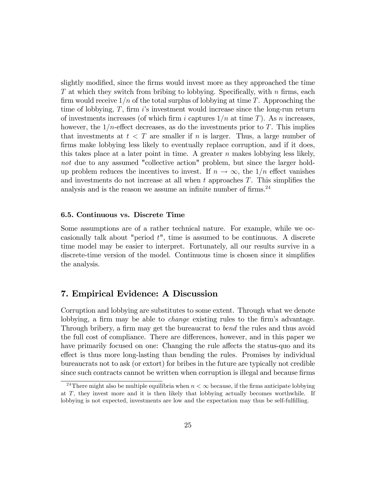slightly modified, since the firms would invest more as they approached the time T at which they switch from bribing to lobbying. Specifically, with n firms, each firm would receive  $1/n$  of the total surplus of lobbying at time T. Approaching the time of lobbying,  $T$ , firm is investment would increase since the long-run return of investments increases (of which firm i captures  $1/n$  at time T). As n increases, however, the  $1/n$ -effect decreases, as do the investments prior to T. This implies that investments at  $t < T$  are smaller if n is larger. Thus, a large number of firms make lobbying less likely to eventually replace corruption, and if it does, this takes place at a later point in time. A greater  $n$  makes lobbying less likely, not due to any assumed "collective action" problem, but since the larger holdup problem reduces the incentives to invest. If  $n \to \infty$ , the  $1/n$  effect vanishes and investments do not increase at all when  $t$  approaches  $T$ . This simplifies the analysis and is the reason we assume an infinite number of firms. $24$ 

#### 6.5. Continuous vs. Discrete Time

Some assumptions are of a rather technical nature. For example, while we occasionally talk about "period t", time is assumed to be continuous. A discrete time model may be easier to interpret. Fortunately, all our results survive in a discrete-time version of the model. Continuous time is chosen since it simplifies the analysis.

# 7. Empirical Evidence: A Discussion

Corruption and lobbying are substitutes to some extent. Through what we denote lobbying, a firm may be able to *change* existing rules to the firm's advantage. Through bribery, a firm may get the bureaucrat to *bend* the rules and thus avoid the full cost of compliance. There are differences, however, and in this paper we have primarily focused on one: Changing the rule affects the status-quo and its effect is thus more long-lasting than bending the rules. Promises by individual bureaucrats not to ask (or extort) for bribes in the future are typically not credible since such contracts cannot be written when corruption is illegal and because firms

<sup>&</sup>lt;sup>24</sup>There might also be multiple equilibria when  $n < \infty$  because, if the firms anticipate lobbying at T, they invest more and it is then likely that lobbying actually becomes worthwhile. If lobbying is not expected, investments are low and the expectation may thus be self-fulfilling.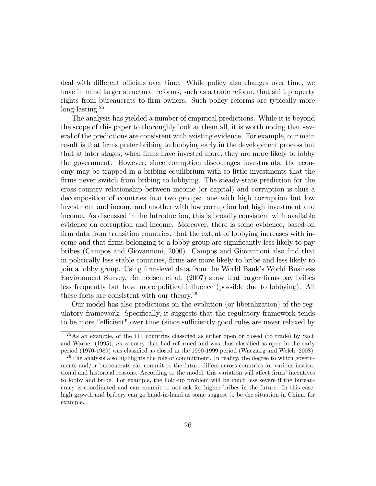deal with different officials over time. While policy also changes over time, we have in mind larger structural reforms, such as a trade reform, that shift property rights from bureaucrats to firm owners. Such policy reforms are typically more long-lasting.<sup>25</sup>

The analysis has yielded a number of empirical predictions. While it is beyond the scope of this paper to thoroughly look at them all, it is worth noting that several of the predictions are consistent with existing evidence. For example, our main result is that firms prefer bribing to lobbying early in the development process but that at later stages, when firms have invested more, they are more likely to lobby the government. However, since corruption discourages investments, the economy may be trapped in a bribing equilibrium with so little investments that the firms never switch from bribing to lobbying. The steady-state prediction for the cross-country relationship between income (or capital) and corruption is thus a decomposition of countries into two groups: one with high corruption but low investment and income and another with low corruption but high investment and income. As discussed in the Introduction, this is broadly consistent with available evidence on corruption and income. Moreover, there is some evidence, based on firm data from transition countries, that the extent of lobbying increases with income and that firms belonging to a lobby group are significantly less likely to pay bribes (Campos and Giovannoni, 2006). Campos and Giovannoni also Önd that in politically less stable countries, firms are more likely to bribe and less likely to join a lobby group. Using firm-level data from the World Bank's World Business Environment Survey, Bennedsen et al. (2007) show that larger firms pay bribes less frequently but have more political ináuence (possible due to lobbying). All these facts are consistent with our theory.<sup>26</sup>

Our model has also predictions on the evolution (or liberalization) of the regulatory framework. Specifically, it suggests that the regulatory framework tends to be more "efficient" over time (since sufficiently good rules are never relaxed by

 $^{25}$ As an example, of the 111 countries classified as either open or closed (to trade) by Sach and Warner (1995), no country that had reformed and was thus classified as open in the early period (1970-1989) was classified as closed in the 1990-1999 period (Wacziarg and Welch, 2008).

 $^{26}$ The analysis also highlights the role of commitment. In reality, the degree to which governments and/or bureaucrats can commit to the future differs across countries for various institutional and historical reasons. According to the model, this variation will affect firms' incentives to lobby and bribe. For example, the hold-up problem will be much less severe if the bureaucracy is coordinated and can commit to not ask for higher bribes in the future. In this case, high growth and bribery can go hand-in-hand as some suggest to be the situation in China, for example.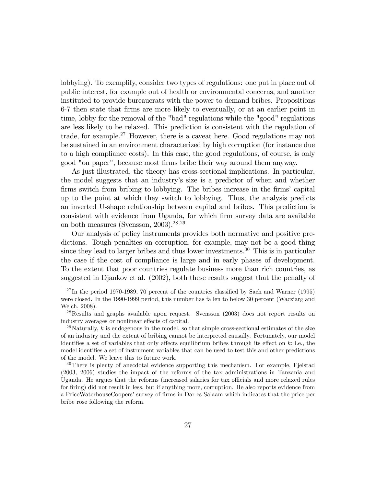lobbying). To exemplify, consider two types of regulations: one put in place out of public interest, for example out of health or environmental concerns, and another instituted to provide bureaucrats with the power to demand bribes. Propositions 6-7 then state that Örms are more likely to eventually, or at an earlier point in time, lobby for the removal of the "bad" regulations while the "good" regulations are less likely to be relaxed. This prediction is consistent with the regulation of trade, for example.<sup>27</sup> However, there is a caveat here. Good regulations may not be sustained in an environment characterized by high corruption (for instance due to a high compliance costs). In this case, the good regulations, of course, is only good "on paper", because most Örms bribe their way around them anyway.

As just illustrated, the theory has cross-sectional implications. In particular, the model suggests that an industryís size is a predictor of when and whether firms switch from bribing to lobbying. The bribes increase in the firms' capital up to the point at which they switch to lobbying. Thus, the analysis predicts an inverted U-shape relationship between capital and bribes. This prediction is consistent with evidence from Uganda, for which firm survey data are available on both measures (Svensson,  $2003$ ).<sup>28,29</sup>

Our analysis of policy instruments provides both normative and positive predictions. Tough penalties on corruption, for example, may not be a good thing since they lead to larger bribes and thus lower investments.<sup>30</sup> This is in particular the case if the cost of compliance is large and in early phases of development. To the extent that poor countries regulate business more than rich countries, as suggested in Djankov et al. (2002), both these results suggest that the penalty of

 $^{27}$ In the period 1970-1989, 70 percent of the countries classified by Sach and Warner (1995) were closed. In the 1990-1999 period, this number has fallen to below 30 percent (Wacziarg and Welch, 2008).

<sup>28</sup>Results and graphs available upon request. Svensson (2003) does not report results on industry averages or nonlinear effects of capital.

<sup>&</sup>lt;sup>29</sup>Naturally, k is endogenous in the model, so that simple cross-sectional estimates of the size of an industry and the extent of bribing cannot be interpreted causally. Fortunately, our model identifies a set of variables that only affects equilibrium bribes through its effect on  $k$ ; i.e., the model identifies a set of instrument variables that can be used to test this and other predictions of the model. We leave this to future work.

<sup>&</sup>lt;sup>30</sup>There is plenty of anecdotal evidence supporting this mechanism. For example, Fjelstad (2003, 2006) studies the impact of the reforms of the tax administrations in Tanzania and Uganda. He argues that the reforms (increased salaries for tax officials and more relaxed rules for firing) did not result in less, but if anything more, corruption. He also reports evidence from a PriceWaterhouseCoopers' survey of firms in Dar es Salaam which indicates that the price per bribe rose following the reform.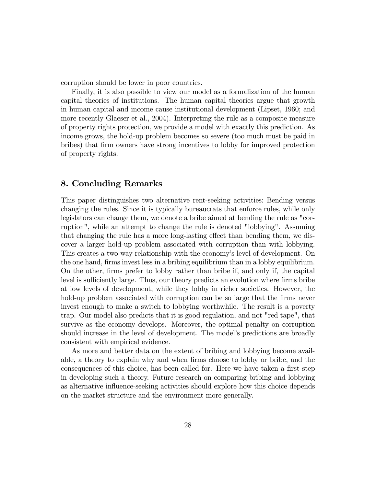corruption should be lower in poor countries.

Finally, it is also possible to view our model as a formalization of the human capital theories of institutions. The human capital theories argue that growth in human capital and income cause institutional development (Lipset, 1960; and more recently Glaeser et al., 2004). Interpreting the rule as a composite measure of property rights protection, we provide a model with exactly this prediction. As income grows, the hold-up problem becomes so severe (too much must be paid in bribes) that Örm owners have strong incentives to lobby for improved protection of property rights.

# 8. Concluding Remarks

This paper distinguishes two alternative rent-seeking activities: Bending versus changing the rules. Since it is typically bureaucrats that enforce rules, while only legislators can change them, we denote a bribe aimed at bending the rule as "corruption", while an attempt to change the rule is denoted "lobbying". Assuming that changing the rule has a more long-lasting effect than bending them, we discover a larger hold-up problem associated with corruption than with lobbying. This creates a two-way relationship with the economy's level of development. On the one hand, firms invest less in a bribing equilibrium than in a lobby equilibrium. On the other, firms prefer to lobby rather than bribe if, and only if, the capital level is sufficiently large. Thus, our theory predicts an evolution where firms bribe at low levels of development, while they lobby in richer societies. However, the hold-up problem associated with corruption can be so large that the firms never invest enough to make a switch to lobbying worthwhile. The result is a poverty trap. Our model also predicts that it is good regulation, and not "red tape", that survive as the economy develops. Moreover, the optimal penalty on corruption should increase in the level of development. The model's predictions are broadly consistent with empirical evidence.

As more and better data on the extent of bribing and lobbying become available, a theory to explain why and when firms choose to lobby or bribe, and the consequences of this choice, has been called for. Here we have taken a first step in developing such a theory. Future research on comparing bribing and lobbying as alternative influence-seeking activities should explore how this choice depends on the market structure and the environment more generally.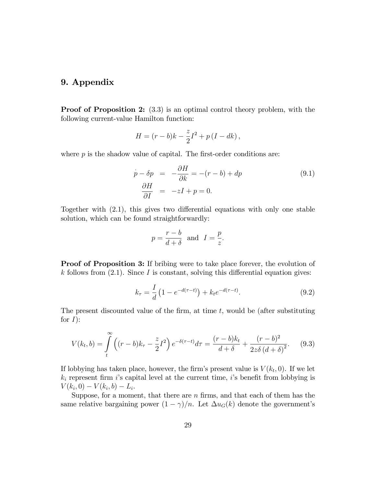# 9. Appendix

Proof of Proposition 2:  $(3.3)$  is an optimal control theory problem, with the following current-value Hamilton function:

$$
H = (r - b)k - \frac{z}{2}I^2 + p(I - dk),
$$

where  $p$  is the shadow value of capital. The first-order conditions are:

$$
\dot{p} - \delta p = -\frac{\partial H}{\partial k} = -(r - b) + dp
$$
\n
$$
\frac{\partial H}{\partial I} = -zI + p = 0.
$$
\n(9.1)

Together with  $(2.1)$ , this gives two differential equations with only one stable solution, which can be found straightforwardly:

$$
p = \frac{r-b}{d+\delta}
$$
 and  $I = \frac{p}{z}$ .

**Proof of Proposition 3:** If bribing were to take place forever, the evolution of k follows from  $(2.1)$ . Since I is constant, solving this differential equation gives:

$$
k_{\tau} = \frac{I}{d} \left( 1 - e^{-d(\tau - t)} \right) + k_t e^{-d(\tau - t)}.
$$
\n(9.2)

The present discounted value of the firm, at time  $t$ , would be (after substituting for  $I$ :

$$
V(k_t, b) = \int_{t}^{\infty} \left( (r - b)k_{\tau} - \frac{z}{2}I^2 \right) e^{-\delta(\tau - t)} d\tau = \frac{(r - b)k_t}{d + \delta} + \frac{(r - b)^2}{2z\delta (d + \delta)^2}.
$$
 (9.3)

If lobbying has taken place, however, the firm's present value is  $V(k_t, 0)$ . If we let  $k_i$  represent firm is capital level at the current time, is benefit from lobbying is  $V(k_i, 0) - V(k_i, b) - L_i.$ 

Suppose, for a moment, that there are  $n$  firms, and that each of them has the same relative bargaining power  $(1 - \gamma)/n$ . Let  $\Delta u_G(k)$  denote the government's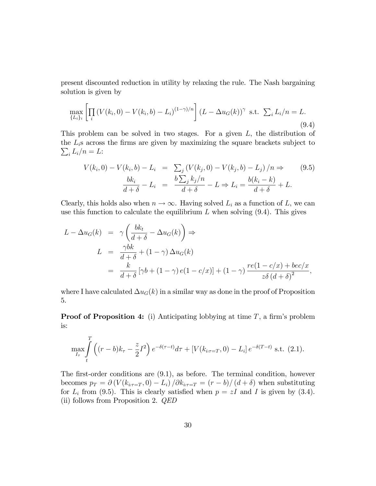present discounted reduction in utility by relaxing the rule. The Nash bargaining solution is given by

$$
\max_{\{L_i\}_i} \left[ \prod_i \left( V(k_i, 0) - V(k_i, b) - L_i \right)^{(1 - \gamma)/n} \right] (L - \Delta u_G(k))^{\gamma} \text{ s.t. } \sum_i L_i/n = L. \tag{9.4}
$$

This problem can be solved in two stages. For a given  $L$ , the distribution of the  $L_i$ s across the firms are given by maximizing the square brackets subject to  $\sum_i L_i/n = L$ :

$$
V(k_i, 0) - V(k_i, b) - L_i = \sum_j (V(k_j, 0) - V(k_j, b) - L_j) / n \Rightarrow (9.5)
$$

$$
\frac{bk_i}{d+\delta} - L_i = \frac{b\sum_j k_j / n}{d+\delta} - L \Rightarrow L_i = \frac{b(k_i - k)}{d+\delta} + L.
$$

Clearly, this holds also when  $n \to \infty$ . Having solved  $L_i$  as a function of L, we can use this function to calculate the equilibrium  $L$  when solving  $(9.4)$ . This gives

$$
L - \Delta u_G(k) = \gamma \left( \frac{bk_t}{d+\delta} - \Delta u_G(k) \right) \Rightarrow
$$
  
\n
$$
L = \frac{\gamma bk}{d+\delta} + (1-\gamma) \Delta u_G(k)
$$
  
\n
$$
= \frac{k}{d+\delta} [\gamma b + (1-\gamma) e(1-c/x)] + (1-\gamma) \frac{re(1-c/x) + bec/x}{z\delta (d+\delta)^2},
$$

where I have calculated  $\Delta u_G(k)$  in a similar way as done in the proof of Proposition 5.

**Proof of Proposition 4:** (i) Anticipating lobbying at time  $T$ , a firm's problem is:

$$
\max_{I_{\tau}} \int_{t}^{T} \left( (r-b)k_{\tau} - \frac{z}{2}I^{2} \right) e^{-\delta(\tau-t)} d\tau + \left[ V(k_{i(\tau=T)}, 0) - L_{i} \right] e^{-\delta(T-t)} \text{ s.t. (2.1)}.
$$

The first-order conditions are  $(9.1)$ , as before. The terminal condition, however becomes  $p_T = \partial (V(k_{i\tau = T}, 0) - L_i) / \partial k_{i\tau = T} = (r - b)/(d + \delta)$  when substituting for  $L_i$  from (9.5). This is clearly satisfied when  $p = zI$  and I is given by (3.4). (ii) follows from Proposition 2. QED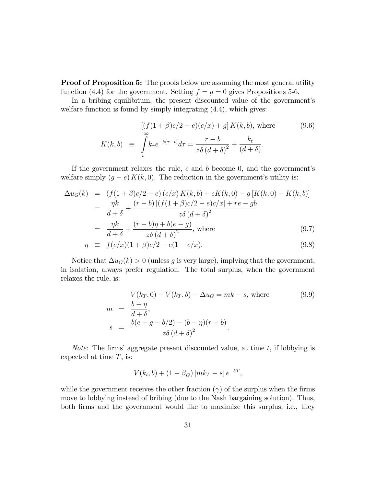**Proof of Proposition 5:** The proofs below are assuming the most general utility function (4.4) for the government. Setting  $f = g = 0$  gives Propositions 5-6.

In a bribing equilibrium, the present discounted value of the government's welfare function is found by simply integrating  $(4.4)$ , which gives:

$$
K(k,b) \equiv \int_{t}^{b} k_{\tau} e^{-\delta(\tau-t)} d\tau = \frac{r-b}{z\delta(d+\delta)^{2}} + \frac{k_{t}}{(d+\delta)}.
$$
\n(9.6)

If the government relaxes the rule,  $c$  and  $b$  become 0, and the government's welfare simply  $(g - e) K(k, 0)$ . The reduction in the government's utility is:

$$
\Delta u_G(k) = (f(1+\beta)c/2 - e) (c/x) K(k, b) + eK(k, 0) - g [K(k, 0) - K(k, b)]
$$
  
= 
$$
\frac{\eta k}{d+\delta} + \frac{(r-b) [(f(1+\beta)c/2 - e)c/x] + re - gb}{z\delta (d+\delta)^2}
$$
  
= 
$$
\frac{\eta k}{d+\delta} + \frac{(r-b)\eta + b(e-g)}{z\delta (d+\delta)^2}
$$
, where (9.7)

$$
\eta \equiv f(c/x)(1+\beta)c/2 + e(1-c/x). \tag{9.8}
$$

Notice that  $\Delta u_G(k) > 0$  (unless g is very large), implying that the government, in isolation, always prefer regulation. The total surplus, when the government relaxes the rule, is:

$$
V(k_T, 0) - V(k_T, b) - \Delta u_G = mk - s, \text{ where}
$$
  
\n
$$
m = \frac{b - \eta}{d + \delta},
$$
  
\n
$$
s = \frac{b(e - g - b/2) - (b - \eta)(r - b)}{z\delta(d + \delta)^2}.
$$
\n(9.9)

*Note:* The firms' aggregate present discounted value, at time  $t$ , if lobbying is expected at time  $T$ , is:

$$
V(k_t, b) + (1 - \beta_G) [mk_T - s] e^{-\delta T},
$$

while the government receives the other fraction  $(\gamma)$  of the surplus when the firms move to lobbying instead of bribing (due to the Nash bargaining solution). Thus, both Örms and the government would like to maximize this surplus, i.e., they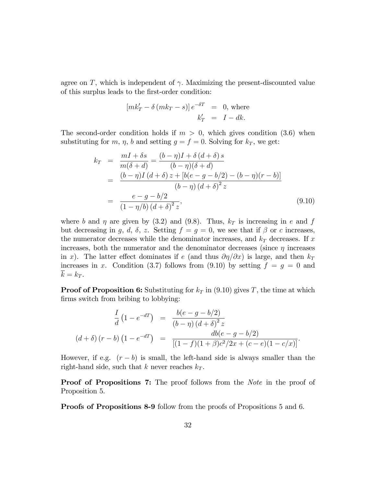agree on  $T$ , which is independent of  $\gamma$ . Maximizing the present-discounted value of this surplus leads to the Örst-order condition:

$$
[mk'_T - \delta(mk_T - s)]e^{-\delta T} = 0, \text{ where}
$$
  

$$
k'_T = I - dk.
$$

The second-order condition holds if  $m > 0$ , which gives condition (3.6) when substituting for m,  $\eta$ , b and setting  $g = f = 0$ . Solving for  $k_T$ , we get:

$$
k_T = \frac{mI + \delta s}{m(\delta + d)} = \frac{(b - \eta)I + \delta(d + \delta)s}{(b - \eta)(\delta + d)}
$$
  
= 
$$
\frac{(b - \eta)I(d + \delta)z + [b(e - g - b/2) - (b - \eta)(r - b)]}{(b - \eta)(d + \delta)^2 z}
$$
  
= 
$$
\frac{e - g - b/2}{(1 - \eta/b)(d + \delta)^2 z},
$$
(9.10)

where b and  $\eta$  are given by (3.2) and (9.8). Thus,  $k_T$  is increasing in e and f but decreasing in g, d,  $\delta$ , z. Setting  $f = g = 0$ , we see that if  $\beta$  or c increases, the numerator decreases while the denominator increases, and  $k_T$  decreases. If x increases, both the numerator and the denominator decreases (since  $\eta$  increases in x). The latter effect dominates if e (and thus  $\partial \eta / \partial x$ ) is large, and then  $k_T$ increases in x. Condition (3.7) follows from (9.10) by setting  $f = g = 0$  and  $\overline{k} = k_T$ .

**Proof of Proposition 6:** Substituting for  $k_T$  in (9.10) gives T, the time at which firms switch from bribing to lobbying:

$$
\frac{I}{d} (1 - e^{-dT}) = \frac{b(e - g - b/2)}{(b - \eta) (d + \delta)^2 z}
$$

$$
(d + \delta) (r - b) (1 - e^{-dT}) = \frac{db(e - g - b/2)}{[(1 - f)(1 + \beta)c^2/2x + (c - e)(1 - c/x)]}.
$$

However, if e.g.  $(r - b)$  is small, the left-hand side is always smaller than the right-hand side, such that k never reaches  $k_T$ .

Proof of Propositions 7: The proof follows from the Note in the proof of Proposition 5.

Proofs of Propositions 8-9 follow from the proofs of Propositions 5 and 6.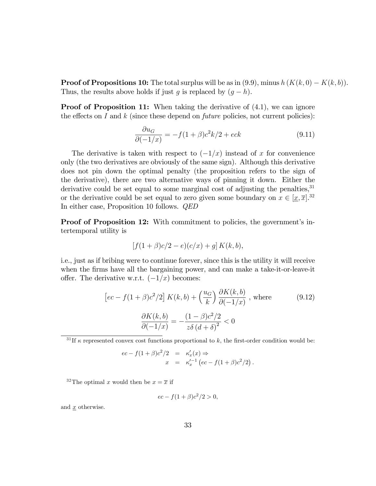**Proof of Propositions 10:** The total surplus will be as in  $(9.9)$ , minus  $h(K(k, 0) - K(k, b))$ . Thus, the results above holds if just g is replaced by  $(g - h)$ .

**Proof of Proposition 11:** When taking the derivative of  $(4.1)$ , we can ignore the effects on I and  $k$  (since these depend on *future* policies, not current policies):

$$
\frac{\partial u_G}{\partial (-1/x)} = -f(1+\beta)c^2k/2 + eck\tag{9.11}
$$

The derivative is taken with respect to  $\left(\frac{-1}{x}\right)$  instead of x for convenience only (the two derivatives are obviously of the same sign). Although this derivative does not pin down the optimal penalty (the proposition refers to the sign of the derivative), there are two alternative ways of pinning it down. Either the derivative could be set equal to some marginal cost of adjusting the penalties,  $31$ or the derivative could be set equal to zero given some boundary on  $x \in [\underline{x}, \overline{x}].$ <sup>32</sup> In either case, Proposition 10 follows. QED

**Proof of Proposition 12:** With commitment to policies, the government's intertemporal utility is

$$
[f(1+\beta)c/2 - e)(c/x) + g] K(k, b),
$$

i.e., just as if bribing were to continue forever, since this is the utility it will receive when the firms have all the bargaining power, and can make a take-it-or-leave-it offer. The derivative w.r.t.  $(-1/x)$  becomes:

$$
\left[ec - f(1+\beta)c^2/2\right]K(k,b) + \left(\frac{u_G}{k}\right)\frac{\partial K(k,b)}{\partial(-1/x)}, \text{ where } \qquad (9.12)
$$

$$
\frac{\partial K(k,b)}{\partial(-1/x)} = -\frac{(1-\beta)c^2/2}{z\delta(d+\delta)^2} < 0
$$

<sup>31</sup> If  $\kappa$  represented convex cost functions proportional to k, the first-order condition would be:

$$
ec - f(1+\beta)c^2/2 = \kappa'_x(x) \Rightarrow
$$
  

$$
x = \kappa'_x{}^{1} (ec - f(1+\beta)c^2/2).
$$

<sup>32</sup>The optimal x would then be  $x = \overline{x}$  if

$$
ec - f(1 + \beta)c^2/2 > 0,
$$

and  $\underline{x}$  otherwise.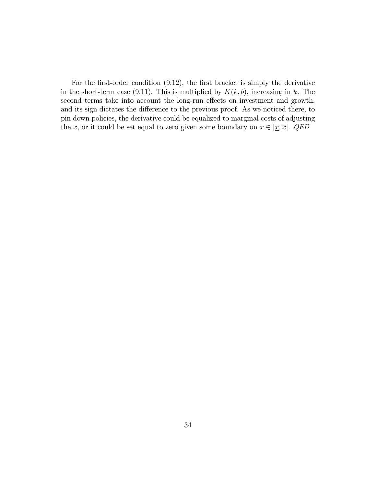For the first-order condition  $(9.12)$ , the first bracket is simply the derivative in the short-term case (9.11). This is multiplied by  $K(k, b)$ , increasing in k. The second terms take into account the long-run effects on investment and growth, and its sign dictates the difference to the previous proof. As we noticed there, to pin down policies, the derivative could be equalized to marginal costs of adjusting the x, or it could be set equal to zero given some boundary on  $x \in [\underline{x}, \overline{x}]$ . QED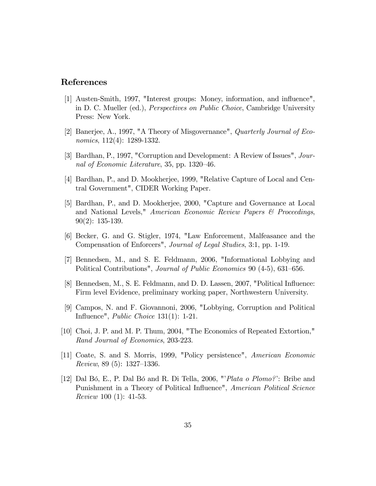## References

- [1] Austen-Smith, 1997, "Interest groups: Money, information, and ináuence", in D. C. Mueller (ed.), Perspectives on Public Choice, Cambridge University Press: New York.
- [2] Banerjee, A., 1997, "A Theory of Misgovernance", Quarterly Journal of Economics, 112(4): 1289-1332.
- [3] Bardhan, P., 1997, "Corruption and Development: A Review of Issues", Journal of Economic Literature, 35, pp.  $1320-46$ .
- [4] Bardhan, P., and D. Mookherjee, 1999, "Relative Capture of Local and Central Government", CIDER Working Paper.
- [5] Bardhan, P., and D. Mookherjee, 2000, "Capture and Governance at Local and National Levels," American Economic Review Papers & Proceedings, 90(2): 135-139.
- [6] Becker, G. and G. Stigler, 1974, "Law Enforcement, Malfeasance and the Compensation of Enforcers", Journal of Legal Studies, 3:1, pp. 1-19.
- [7] Bennedsen, M., and S. E. Feldmann, 2006, "Informational Lobbying and Political Contributions", Journal of Public Economics 90 (4-5), 631–656.
- [8] Bennedsen, M., S. E. Feldmann, and D. D. Lassen, 2007, "Political Ináuence: Firm level Evidence, preliminary working paper, Northwestern University.
- [9] Campos, N. and F. Giovannoni, 2006, "Lobbying, Corruption and Political Influence", *Public Choice*  $131(1)$ : 1-21.
- [10] Choi, J. P. and M. P. Thum, 2004, "The Economics of Repeated Extortion," Rand Journal of Economics, 203-223.
- [11] Coate, S. and S. Morris, 1999, "Policy persistence", American Economic Review, 89  $(5)$ : 1327–1336.
- [12] Dal Bó, E., P. Dal Bó and R. Di Tella, 2006, " $Plata\ o\ Plomo?$ : Bribe and Punishment in a Theory of Political Influence", American Political Science Review 100 (1): 41-53.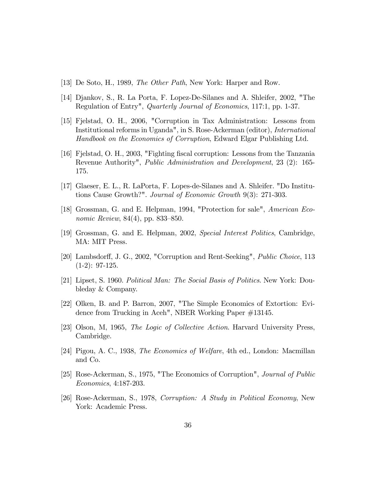- [13] De Soto, H., 1989, The Other Path, New York: Harper and Row.
- [14] Djankov, S., R. La Porta, F. Lopez-De-Silanes and A. Shleifer, 2002, "The Regulation of Entry", Quarterly Journal of Economics, 117:1, pp. 1-37.
- [15] Fjelstad, O. H., 2006, "Corruption in Tax Administration: Lessons from Institutional reforms in Uganda", in S. Rose-Ackerman (editor), International Handbook on the Economics of Corruption, Edward Elgar Publishing Ltd.
- [16] Fjelstad, O. H., 2003, "Fighting Öscal corruption: Lessons from the Tanzania Revenue Authority", Public Administration and Development, 23 (2): 165- 175.
- [17] Glaeser, E. L., R. LaPorta, F. Lopes-de-Silanes and A. Shleifer. "Do Institutions Cause Growth?". Journal of Economic Growth 9(3): 271-303.
- [18] Grossman, G. and E. Helpman, 1994, "Protection for sale", American Economic Review,  $84(4)$ , pp.  $833-850$ .
- [19] Grossman, G. and E. Helpman, 2002, Special Interest Politics, Cambridge, MA: MIT Press.
- [20] Lambsdorff, J. G., 2002, "Corruption and Rent-Seeking", *Public Choice*, 113  $(1-2): 97-125.$
- [21] Lipset, S. 1960. Political Man: The Social Basis of Politics. New York: Doubleday & Company.
- [22] Olken, B. and P. Barron, 2007, "The Simple Economics of Extortion: Evidence from Trucking in Aceh", NBER Working Paper #13145.
- [23] Olson, M, 1965, The Logic of Collective Action. Harvard University Press, Cambridge.
- [24] Pigou, A. C., 1938, The Economics of Welfare, 4th ed., London: Macmillan and Co.
- [25] Rose-Ackerman, S., 1975, "The Economics of Corruption", Journal of Public Economics, 4:187-203.
- [26] Rose-Ackerman, S., 1978, Corruption: A Study in Political Economy, New York: Academic Press.